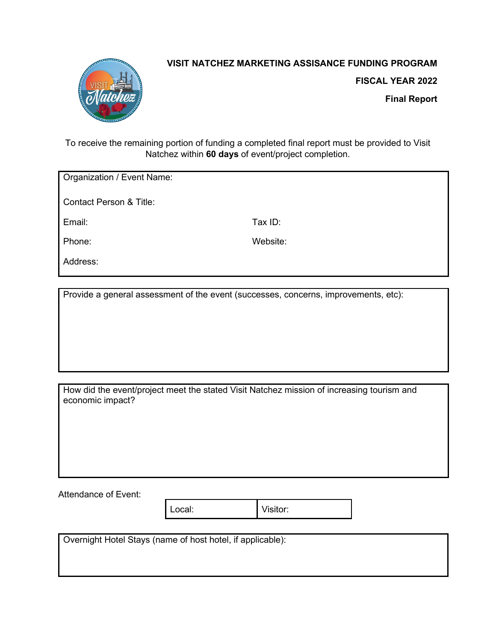

## **VISIT NATCHEZ MARKETING ASSISANCE FUNDING PROGRAM**

**FISCAL YEAR 2022**

**Final Report**

To receive the remaining portion of funding a completed final report must be provided to Visit Natchez within **60 days** of event/project completion.

Organization / Event Name:

Contact Person & Title:

Email: Tax ID:

Phone: Website:

Address:

Provide a general assessment of the event (successes, concerns, improvements, etc):

How did the event/project meet the stated Visit Natchez mission of increasing tourism and economic impact?

Attendance of Event:

Local: Visitor:

Overnight Hotel Stays (name of host hotel, if applicable):